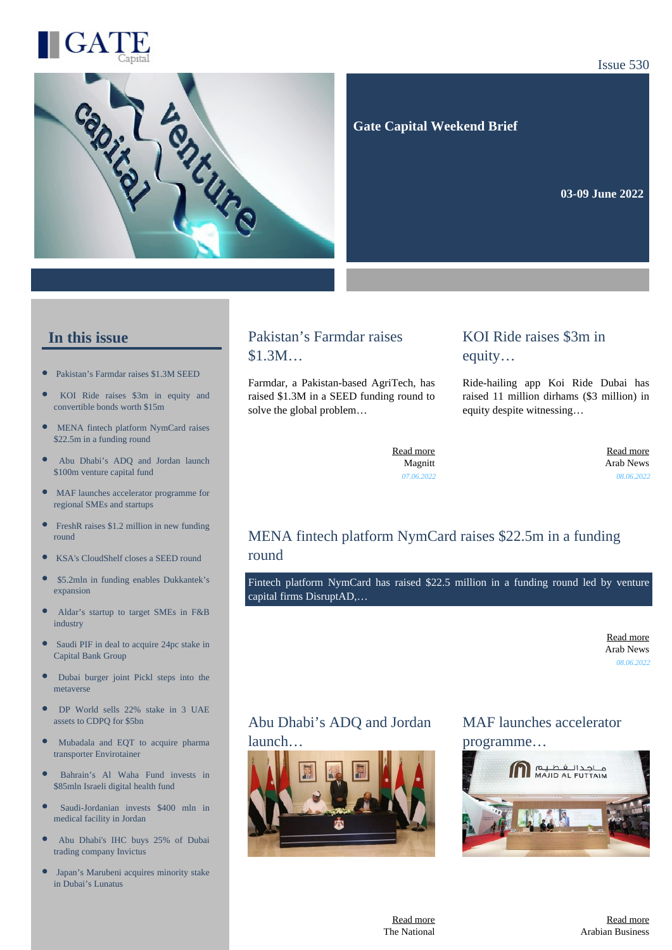



Issue 530

#### **Gate Capital Weekend Brief**

**03-09 June 2022** 

#### **In this issue**

- [Pakistan's Farmdar raises \\$1.3M SEED](https://gatecapital.net/back_office/newsletters/tracking/6014/672)
- [KOI Ride raises \\$3m in equity and](https://gatecapital.net/back_office/newsletters/tracking/6021/672) [convertible bonds worth \\$15m](https://gatecapital.net/back_office/newsletters/tracking/6021/672)
- $\bullet$ [MENA fintech platform NymCard raises](https://gatecapital.net/back_office/newsletters/tracking/6020/672) [\\$22.5m in a funding round](https://gatecapital.net/back_office/newsletters/tracking/6020/672)
- [Abu Dhabi's ADQ and Jordan launch](https://gatecapital.net/back_office/newsletters/tracking/6018/672) [\\$100m venture capital fund](https://gatecapital.net/back_office/newsletters/tracking/6018/672)
- $\bullet$ [MAF launches accelerator programme for](https://gatecapital.net/back_office/newsletters/tracking/6016/672) [regional SMEs and startups](https://gatecapital.net/back_office/newsletters/tracking/6016/672)
- $\bullet$ [FreshR raises \\$1.2 million in new funding](https://gatecapital.net/back_office/newsletters/tracking/6026/672) [round](https://gatecapital.net/back_office/newsletters/tracking/6026/672)
- [KSA's CloudShelf closes a SEED round](https://gatecapital.net/back_office/newsletters/tracking/6023/672)
- $\blacksquare$ [\\$5.2mln in funding enables Dukkantek's](https://gatecapital.net/back_office/newsletters/tracking/6019/672) [expansion](https://gatecapital.net/back_office/newsletters/tracking/6019/672)
- $\bullet$ [Aldar's startup to target SMEs in F&B](https://gatecapital.net/back_office/newsletters/tracking/6027/672) [industry](https://gatecapital.net/back_office/newsletters/tracking/6027/672)
- $\bullet$ [Saudi PIF in deal to acquire 24pc stake in](https://gatecapital.net/back_office/newsletters/tracking/6010/672) [Capital Bank Group](https://gatecapital.net/back_office/newsletters/tracking/6010/672)
- $\bullet$ [Dubai burger joint Pickl steps into the](https://gatecapital.net/back_office/newsletters/tracking/6028/672) [metaverse](https://gatecapital.net/back_office/newsletters/tracking/6028/672)
- $\epsilon$ [DP World sells 22% stake in 3 UAE](https://gatecapital.net/back_office/newsletters/tracking/6011/672) [assets to CDPQ for \\$5bn](https://gatecapital.net/back_office/newsletters/tracking/6011/672)
- [Mubadala and EQT to acquire pharma](https://gatecapital.net/back_office/newsletters/tracking/6012/672) [transporter Envirotainer](https://gatecapital.net/back_office/newsletters/tracking/6012/672)
- $\bullet$ [Bahrain's Al Waha Fund invests in](https://gatecapital.net/back_office/newsletters/tracking/6013/672) [\\$85mln Israeli digital health fund](https://gatecapital.net/back_office/newsletters/tracking/6013/672)
- [Saudi-Jordanian invests \\$400 mln in](https://gatecapital.net/back_office/newsletters/tracking/6009/672)  $\bullet$ [medical facility in Jordan](https://gatecapital.net/back_office/newsletters/tracking/6009/672)
- $\bullet$ [Abu Dhabi's IHC buys 25% of Dubai](https://gatecapital.net/back_office/newsletters/tracking/6015/672) [trading company Invictus](https://gatecapital.net/back_office/newsletters/tracking/6015/672)
- [Japan's Marubeni acquires minority stake](https://gatecapital.net/back_office/newsletters/tracking/6017/672) [in Dubai's Lunatus](https://gatecapital.net/back_office/newsletters/tracking/6017/672)

#### Pakistan's Farmdar raises \$1.3M…

Farmdar, a Pakistan-based AgriTech, has raised \$1.3M in a SEED funding round to solve the global problem…

#### KOI Ride raises \$3m in equity…

Ride-hailing app Koi Ride Dubai has raised 11 million dirhams (\$3 million) in equity despite witnessing…

[Read more](https://gatecapital.net/back_office/newsletters/tracking/6014/672) Magnitt *07.06.2022*

[Read more](https://gatecapital.net/back_office/newsletters/tracking/6021/672) Arab News *08.06.2022*

### MENA fintech platform NymCard raises \$22.5m in a funding round

Fintech platform NymCard has raised \$22.5 million in a funding round led by venture capital firms DisruptAD,…

> [Read more](https://gatecapital.net/back_office/newsletters/tracking/6020/672) Arab News *08.06.2022*

### Abu Dhabi's ADQ and Jordan launch…



MAF launches accelerator programme…

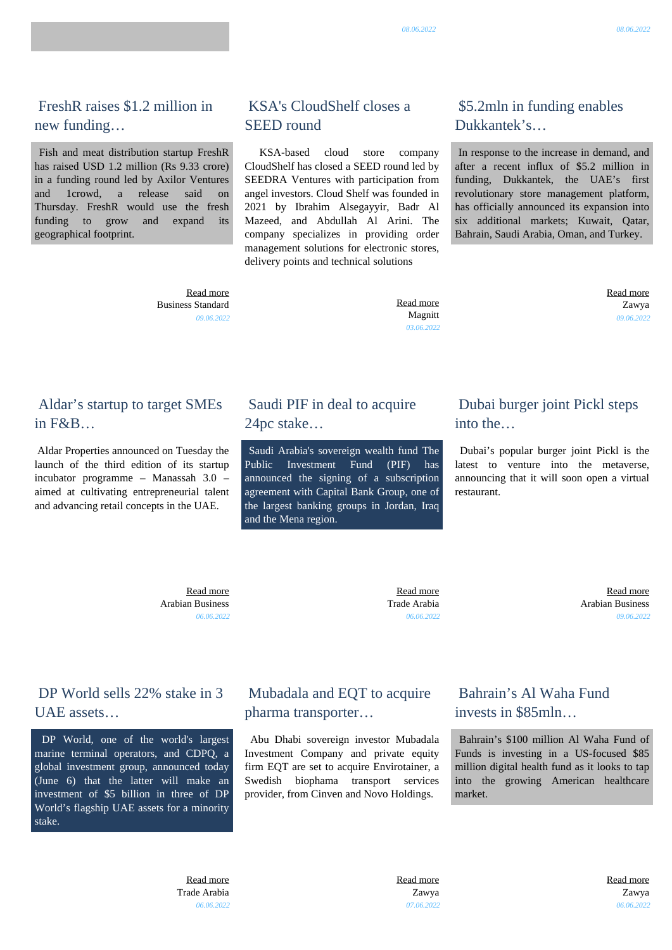[Read more](https://gatecapital.net/back_office/newsletters/tracking/6012/672) Zawya *07.06.2022*  [Read more](https://gatecapital.net/back_office/newsletters/tracking/6013/672) Zawya *06.06.2022*

 Fish and meat distribution startup FreshR has raised USD 1.2 million (Rs 9.33 crore) in a funding round led by Axilor Ventures and 1crowd, a release said on Thursday. FreshR would use the fresh funding to grow and expand its geographical footprint.

# KSA's CloudShelf closes a SEED round

 KSA-based cloud store company CloudShelf has closed a SEED round led by SEEDRA Ventures with participation from angel investors. Cloud Shelf was founded in 2021 by Ibrahim Alsegayyir, Badr Al Mazeed, and Abdullah Al Arini. The company specializes in providing order management solutions for electronic stores, delivery points and technical solutions

 [Read more](https://gatecapital.net/back_office/newsletters/tracking/6026/672) Business Standard *09.06.2022*

#### Aldar's startup to target SMEs in F&B…

 Aldar Properties announced on Tuesday the launch of the third edition of its startup incubator programme – Manassah 3.0 – aimed at cultivating entrepreneurial talent and advancing retail concepts in the UAE.

DP World sells 22% stake in 3

DP World, one of the world's largest marine terminal operators, and CDPQ, a global investment group, announced today (June 6) that the latter will make an investment of \$5 billion in three of DP World's flagship UAE assets for a minority

UAE assets…

stake.

# Saudi PIF in deal to acquire 24pc stake…

 Saudi Arabia's sovereign wealth fund The Public Investment Fund (PIF) has announced the signing of a subscription agreement with Capital Bank Group, one of the largest banking groups in Jordan, Iraq and the Mena region.

Mubadala and EQT to acquire

 Abu Dhabi sovereign investor Mubadala Investment Company and private equity firm EQT are set to acquire Envirotainer, a Swedish biophama transport services provider, from Cinven and Novo Holdings.

pharma transporter…

# Dubai burger joint Pickl steps into the…

 Dubai's popular burger joint Pickl is the latest to venture into the metaverse, announcing that it will soon open a virtual restaurant.

 [Read more](https://gatecapital.net/back_office/newsletters/tracking/6027/672) Arabian Business *06.06.2022*

 [Read more](https://gatecapital.net/back_office/newsletters/tracking/6010/672) Trade Arabia *06.06.2022*

> Bahrain's Al Waha Fund invests in \$85mln…

 Bahrain's \$100 million Al Waha Fund of Funds is investing in a US-focused \$85 million digital health fund as it looks to tap into the growing American healthcare market.

 [Read more](https://gatecapital.net/back_office/newsletters/tracking/6023/672) Magnitt *03.06.2022*

# \$5.2mln in funding enables Dukkantek's…

 In response to the increase in demand, and after a recent influx of \$5.2 million in funding, Dukkantek, the UAE's first revolutionary store management platform, has officially announced its expansion into six additional markets; Kuwait, Qatar, Bahrain, Saudi Arabia, Oman, and Turkey.

> [Read more](https://gatecapital.net/back_office/newsletters/tracking/6019/672) Zawya *09.06.2022*

 [Read more](https://gatecapital.net/back_office/newsletters/tracking/6028/672) Arabian Business *09.06.2022*